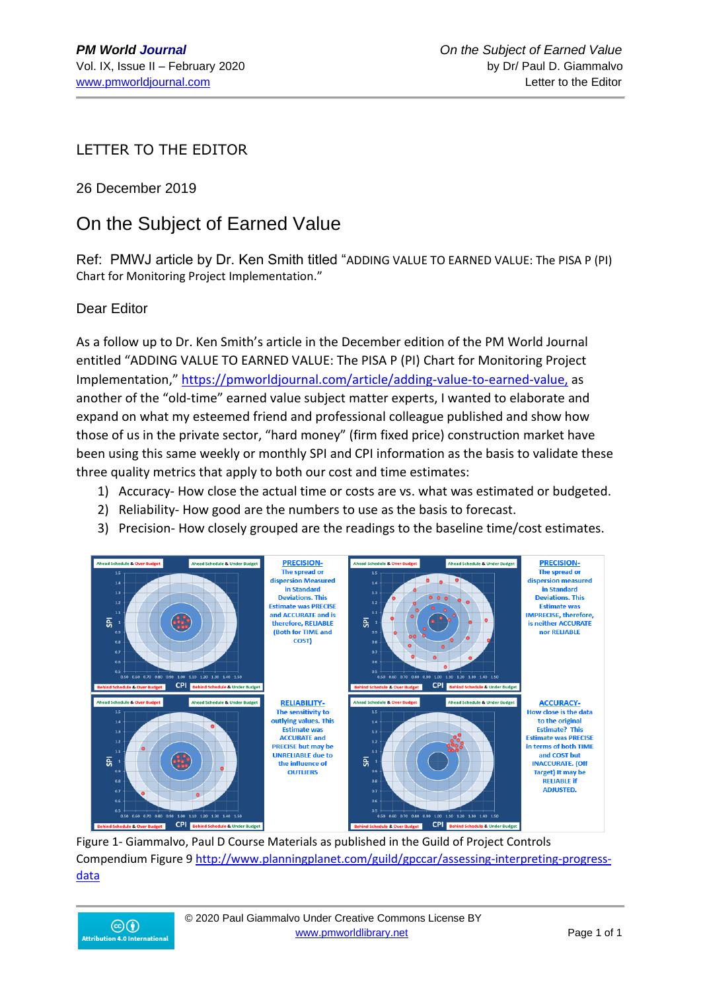LETTER TO THE EDITOR

26 December 2019

## On the Subject of Earned Value

Ref: PMWJ article by Dr. Ken Smith titled "ADDING VALUE TO EARNED VALUE: The PISA P (PI) Chart for Monitoring Project Implementation."

## Dear Editor

As a follow up to Dr. Ken Smith's article in the December edition of the PM World Journal entitled "ADDING VALUE TO EARNED VALUE: The PISA P (PI) Chart for Monitoring Project Implementation," [https://pmworldjournal.com/article/adding-value-to-earned-value,](about:blank) as another of the "old-time" earned value subject matter experts, I wanted to elaborate and expand on what my esteemed friend and professional colleague published and show how those of us in the private sector, "hard money" (firm fixed price) construction market have been using this same weekly or monthly SPI and CPI information as the basis to validate these three quality metrics that apply to both our cost and time estimates:

- 1) Accuracy- How close the actual time or costs are vs. what was estimated or budgeted.
- 2) Reliability- How good are the numbers to use as the basis to forecast.
- 3) Precision- How closely grouped are the readings to the baseline time/cost estimates.



Figure 1- Giammalvo, Paul D Course Materials as published in the Guild of Project Controls Compendium Figure 9 [http://www.planningplanet.com/guild/gpccar/assessing-interpreting-progress](about:blank)[data](about:blank)

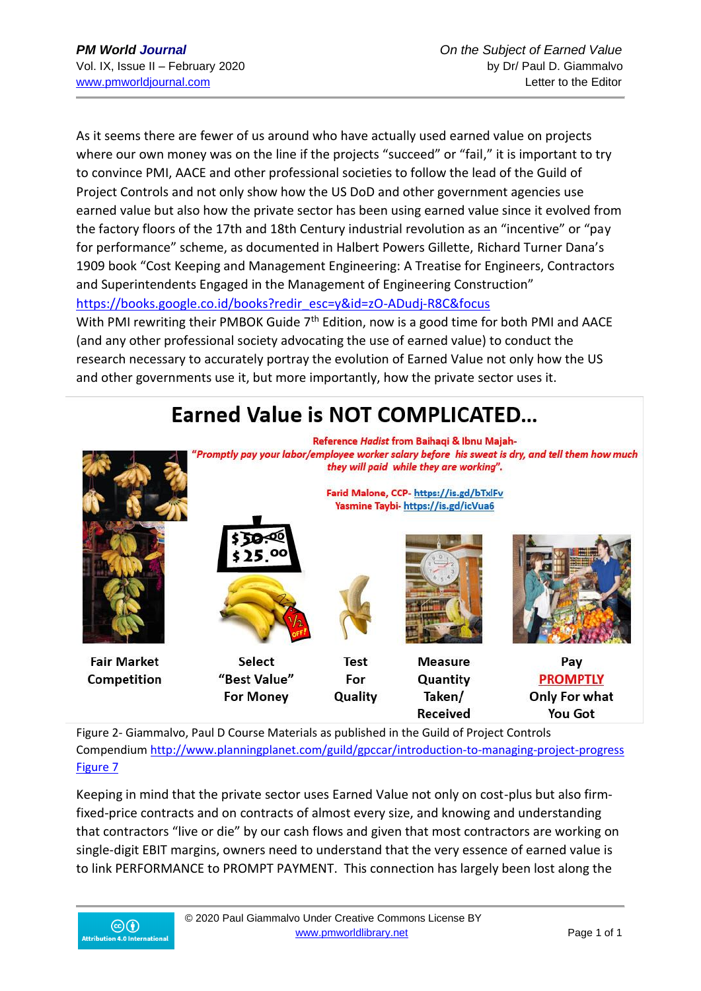As it seems there are fewer of us around who have actually used earned value on projects where our own money was on the line if the projects "succeed" or "fail," it is important to try to convince PMI, AACE and other professional societies to follow the lead of the Guild of Project Controls and not only show how the US DoD and other government agencies use earned value but also how the private sector has been using earned value since it evolved from the factory floors of the 17th and 18th Century industrial revolution as an "incentive" or "pay for performance" scheme, as documented in Halbert Powers Gillette, Richard Turner Dana's 1909 book "Cost Keeping and Management Engineering: A Treatise for Engineers, Contractors and Superintendents Engaged in the Management of Engineering Construction" [https://books.google.co.id/books?redir\\_esc=y&id=zO-ADudj-R8C&focus](about:blank) With PMI rewriting their PMBOK Guide 7<sup>th</sup> Edition, now is a good time for both PMI and AACE (and any other professional society advocating the use of earned value) to conduct the research necessary to accurately portray the evolution of Earned Value not only how the US

and other governments use it, but more importantly, how the private sector uses it.



Figure 2- Giammalvo, Paul D Course Materials as published in the Guild of Project Controls Compendiu[m http://www.planningplanet.com/guild/gpccar/introduction-to-managing-project-progress](about:blank)  [Figure 7](about:blank)

Keeping in mind that the private sector uses Earned Value not only on cost-plus but also firmfixed-price contracts and on contracts of almost every size, and knowing and understanding that contractors "live or die" by our cash flows and given that most contractors are working on single-digit EBIT margins, owners need to understand that the very essence of earned value is to link PERFORMANCE to PROMPT PAYMENT. This connection has largely been lost along the